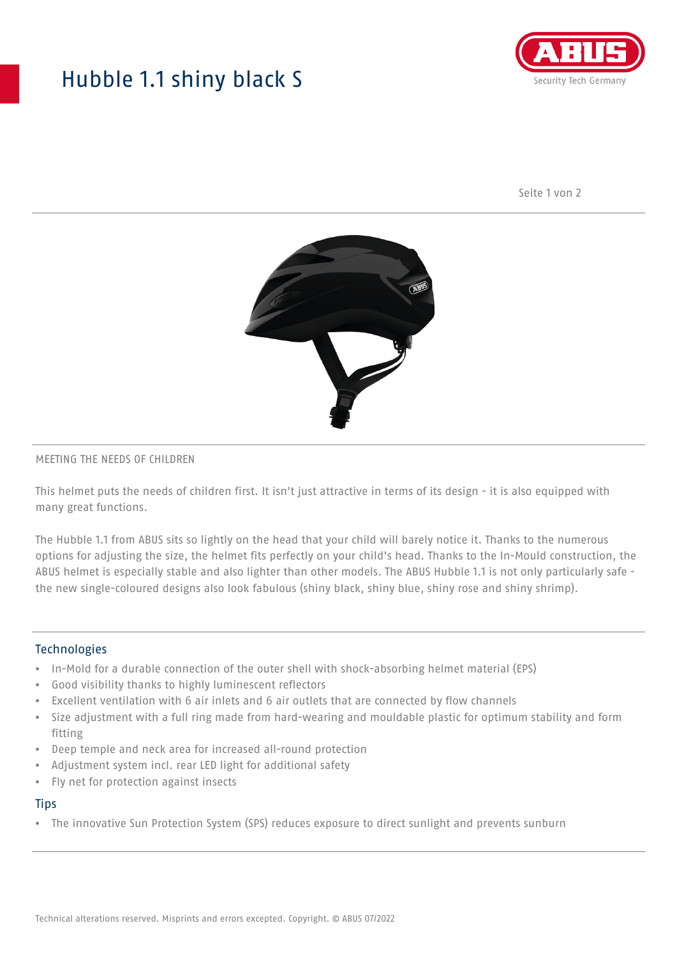## Hubble 1.1 shiny black S



Seite 1 von 2



#### MEETING THE NEEDS OF CHILDREN

This helmet puts the needs of children first. It isn't just attractive in terms of its design - it is also equipped with many great functions.

The Hubble 1.1 from ABUS sits so lightly on the head that your child will barely notice it. Thanks to the numerous options for adjusting the size, the helmet fits perfectly on your child's head. Thanks to the In-Mould construction, the ABUS helmet is especially stable and also lighter than other models. The ABUS Hubble 1.1 is not only particularly safe the new single-coloured designs also look fabulous (shiny black, shiny blue, shiny rose and shiny shrimp).

#### **Technologies**

- In-Mold for a durable connection of the outer shell with shock-absorbing helmet material (EPS)
- Good visibility thanks to highly luminescent reflectors
- Excellent ventilation with 6 air inlets and 6 air outlets that are connected by flow channels
- Size adjustment with a full ring made from hard-wearing and mouldable plastic for optimum stability and form fitting
- Deep temple and neck area for increased all-round protection
- Adjustment system incl. rear LED light for additional safety
- Fly net for protection against insects

#### **Tips**

• The innovative Sun Protection System (SPS) reduces exposure to direct sunlight and prevents sunburn